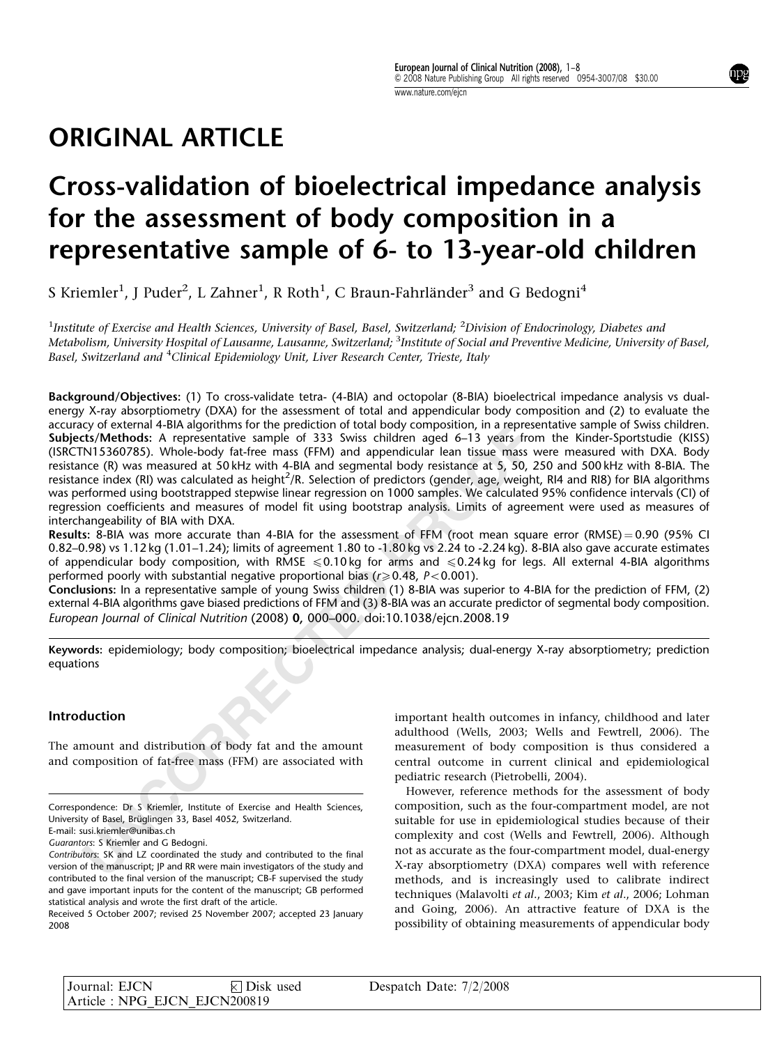## ORIGINAL ARTICLE

# Cross-validation of bioelectrical impedance analysis for the assessment of body composition in a representative sample of 6- to 13-year-old children

S Kriemler $^1$ , J Puder $^2$ , L Zahner $^1$ , R Roth $^1$ , C Braun-Fahrländer $^3$  and G Bedogni $^4$ 

<sup>1</sup>Institute of Exercise and Health Sciences, University of Basel, Basel, Switzerland; <sup>2</sup>Division of Endocrinology, Diabetes and Metabolism, University Hospital of Lausanne, Lausanne, Switzerland; <sup>3</sup>Institute of Social and Preventive Medicine, University of Basel, Basel, Switzerland and <sup>4</sup>Clinical Epidemiology Unit, Liver Research Center, Trieste, Italy

(Soly or external 4-Bi[D](http://dx.doi.org/10.1038/ejcn.2008.19)A algorithms for the petaclicino of total booty composition, in a representative sample of 333 Swiss children aged 6-13 years from the person N1 S360/785). Whole-body fat-free mass (FFM) and appendic Background/Objectives: (1) To cross-validate tetra- (4-BIA) and octopolar (8-BIA) bioelectrical impedance analysis vs dualenergy X-ray absorptiometry (DXA) for the assessment of total and appendicular body composition and (2) to evaluate the accuracy of external 4-BIA algorithms for the prediction of total body composition, in a representative sample of Swiss children. Subjects/Methods: A representative sample of 333 Swiss children aged 6–13 years from the Kinder-Sportstudie (KISS) (ISRCTN15360785). Whole-body fat-free mass (FFM) and appendicular lean tissue mass were measured with DXA. Body resistance (R) was measured at 50 kHz with 4-BIA and segmental body resistance at 5, 50, 250 and 500 kHz with 8-BIA. The resistance index (RI) was calculated as height<sup>2</sup>/R. Selection of predictors (gender, age, weight, RI4 and RI8) for BIA algorithms was performed using bootstrapped stepwise linear regression on 1000 samples. We calculated 95% confidence intervals (CI) of regression coefficients and measures of model fit using bootstrap analysis. Limits of agreement were used as measures of interchangeability of BIA with DXA.

**Results:** 8-BIA was more accurate than 4-BIA for the assessment of FFM (root mean square error (RMSE)=0.90 (95% CI 0.82–0.98) vs 1.12 kg (1.01–1.24); limits of agreement 1.80 to -1.80 kg vs 2.24 to -2.24 kg). 8-BIA also gave accurate estimates of appendicular body composition, with RMSE  $\leqslant$  0.10 kg for arms and  $\leqslant$  0.24 kg for legs. All external 4-BIA algorithms performed poorly with substantial negative proportional bias ( $r \geq 0.48$ ,  $P < 0.001$ ).

Conclusions: In a representative sample of young Swiss children (1) 8-BIA was superior to 4-BIA for the prediction of FFM, (2) external 4-BIA algorithms gave biased predictions of FFM and (3) 8-BIA was an accurate predictor of segmental body composition. European Journal of Clinical Nutrition (2008) 0, 000–000. doi:10.1038/ejcn.2008.19

Keywords: epidemiology; body composition; bioelectrical impedance analysis; dual-energy X-ray absorptiometry; prediction equations

## Introduction

The amount and distribution of body fat and the amount and composition of fat-free mass (FFM) are associated with important health outcomes in infancy, childhood and later adulthood (Wells, 2003; [Wells and Fewtrell, 2006\)](#page-7-0). The measurement of body composition is thus considered a central outcome in current clinical and epidemiological pediatric research ([Pietrobelli, 2004\)](#page-6-0).

However, reference methods for the assessment of body composition, such as the four-compartment model, are not suitable for use in epidemiological studies because of their complexity and cost [\(Wells and Fewtrell, 2006\)](#page-7-0). Although not as accurate as the four-compartment model, dual-energy X-ray absorptiometry (DXA) compares well with reference methods, and is increasingly used to calibrate indirect techniques ([Malavolti](#page-6-0) et al., 2003; Kim et al[., 2006](#page-6-0); [Lohman](#page-6-0) [and Going, 2006](#page-6-0)). An attractive feature of DXA is the possibility of obtaining measurements of appendicular body

| Journal: EJCN                 | $\times$ Disk used | Despatch Date: $7/2/2008$ |  |
|-------------------------------|--------------------|---------------------------|--|
| Article : NPG EJCN EJCN200819 |                    |                           |  |

Correspondence: Dr S Kriemler, Institute of Exercise and Health Sciences, University of Basel, Brüglingen 33, Basel 4052, Switzerland.

E-mail: susi.kriemler@unibas.ch

Guarantors: S Kriemler and G Bedogni.

Contributors: SK and LZ coordinated the study and contributed to the final version of the manuscript; JP and RR were main investigators of the study and contributed to the final version of the manuscript; CB-F supervised the study and gave important inputs for the content of the manuscript; GB performed statistical analysis and wrote the first draft of the article.

Received 5 October 2007; revised 25 November 2007; accepted 23 January 2008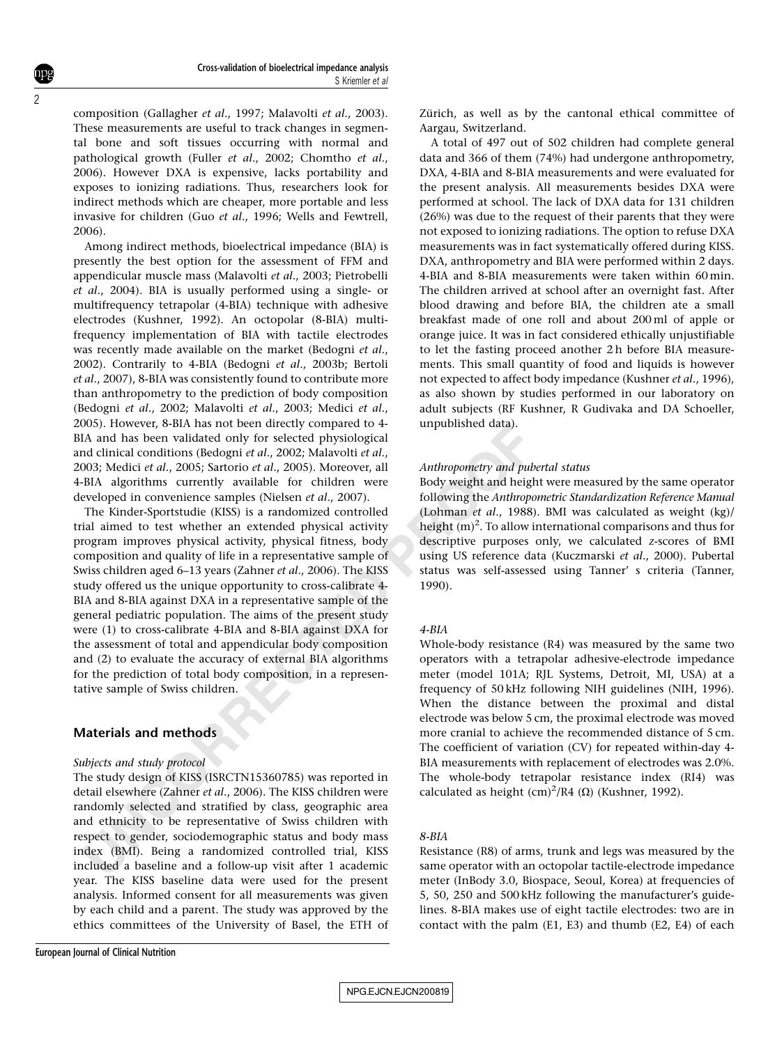composition ([Gallagher](#page-6-0) et al., 1997; [Malavolti](#page-6-0) et al., 2003). These measurements are useful to track changes in segmental bone and soft tissues occurring with normal and pathological growth (Fuller et al[., 2002; Chomtho](#page-6-0) et al., [2006](#page-6-0)). However DXA is expensive, lacks portability and exposes to ionizing radiations. Thus, researchers look for indirect methods which are cheaper, more portable and less invasive for children (Guo et al[., 1996;](#page-6-0) [Wells and Fewtrell,](#page-7-0) [2006](#page-7-0)).

Among indirect methods, bioelectrical impedance (BIA) is presently the best option for the assessment of FFM and appendicular muscle mass ([Malavolti](#page-6-0) et al., 2003; [Pietrobelli](#page-7-0) et al[., 2004\)](#page-7-0). BIA is usually performed using a single- or multifrequency tetrapolar (4-BIA) technique with adhesive electrodes [\(Kushner, 1992\)](#page-6-0). An octopolar (8-BIA) multifrequency implementation of BIA with tactile electrodes was recently made available on the market [\(Bedogni](#page-6-0) et al., [2002](#page-6-0)). Contrarily to 4-BIA (Bedogni et al[., 2003b; Bertoli](#page-6-0) et al[., 2007\)](#page-6-0), 8-BIA was consistently found to contribute more than anthropometry to the prediction of body composition ([Bedogni](#page-6-0) et al., 2002; [Malavolti](#page-6-0) et al., 2003; [Medici](#page-6-0) et al., [2005](#page-6-0)). However, 8-BIA has not been directly compared to 4- BIA and has been validated only for selected physiological and clinical conditions (Bedogni et al., 2002; Malavolti et al., [2003](#page-6-0); Medici et al., 2005; Sartorio et al., 2005). Moreover, all 4-BIA algorithms currently available for children were developed in convenience samples (Nielsen et al., 2007).

005). nowever, on an anton certain at the control of the control of the control of the control of the control of the control of the control of the control of the control of the control of the control of the control of the The Kinder-Sportstudie (KISS) is a randomized controlled trial aimed to test whether an extended physical activity program improves physical activity, physical fitness, body composition and quality of life in a representative sample of Swiss children aged 6–13 years (Zahner et al., 2006). The KISS study offered us the unique opportunity to cross-calibrate 4- BIA and 8-BIA against DXA in a representative sample of the general pediatric population. The aims of the present study were (1) to cross-calibrate 4-BIA and 8-BIA against DXA for the assessment of total and appendicular body composition and (2) to evaluate the accuracy of external BIA algorithms for the prediction of total body composition, in a representative sample of Swiss children.

### Materials and methods

#### Subjects and study protocol

The study design of KISS (ISRCTN15360785) was reported in detail elsewhere (Zahner et al., 2006). The KISS children were randomly selected and stratified by class, geographic area and ethnicity to be representative of Swiss children with respect to gender, sociodemographic status and body mass index (BMI). Being a randomized controlled trial, KISS included a baseline and a follow-up visit after 1 academic year. The KISS baseline data were used for the present analysis. Informed consent for all measurements was given by each child and a parent. The study was approved by the ethics committees of the University of Basel, the ETH of Zürich, as well as by the cantonal ethical committee of Aargau, Switzerland.

A total of 497 out of 502 children had complete general data and 366 of them (74%) had undergone anthropometry, DXA, 4-BIA and 8-BIA measurements and were evaluated for the present analysis. All measurements besides DXA were performed at school. The lack of DXA data for 131 children (26%) was due to the request of their parents that they were not exposed to ionizing radiations. The option to refuse DXA measurements was in fact systematically offered during KISS. DXA, anthropometry and BIA were performed within 2 days. 4-BIA and 8-BIA measurements were taken within 60 min. The children arrived at school after an overnight fast. After blood drawing and before BIA, the children ate a small breakfast made of one roll and about 200 ml of apple or orange juice. It was in fact considered ethically unjustifiable to let the fasting proceed another 2 h before BIA measurements. This small quantity of food and liquids is however not expected to affect body impedance ([Kushner](#page-6-0) et al., 1996), as also shown by studies performed in our laboratory on adult subjects (RF Kushner, R Gudivaka and DA Schoeller, unpublished data).

#### Anthropometry and pubertal status

Body weight and height were measured by the same operator following the Anthropometric Standardization Reference Manual (Lohman et al., 1988). BMI was calculated as weight (kg)/ height  $(m)^2$ . To allow international comparisons and thus for descriptive purposes only, we calculated z-scores of BMI using US reference data ([Kuczmarski](#page-6-0) et al., 2000). Pubertal status was self-assessed using Tanner' s criteria [\(Tanner,](#page-7-0) 1990).

#### 4-BIA

Whole-body resistance (R4) was measured by the same two operators with a tetrapolar adhesive-electrode impedance meter (model 101A; RJL Systems, Detroit, MI, USA) at a frequency of 50 kHz following NIH guidelines ([NIH, 1996](#page-6-0)). When the distance between the proximal and distal electrode was below 5 cm, the proximal electrode was moved more cranial to achieve the recommended distance of 5 cm. The coefficient of variation (CV) for repeated within-day 4- BIA measurements with replacement of electrodes was 2.0%. The whole-body tetrapolar resistance index (RI4) was calculated as height  $(cm)^2/R4 (\Omega)$  ([Kushner, 1992](#page-6-0)).

#### 8-BIA

Resistance (R8) of arms, trunk and legs was measured by the same operator with an octopolar tactile-electrode impedance meter (InBody 3.0, Biospace, Seoul, Korea) at frequencies of 5, 50, 250 and 500 kHz following the manufacturer's guidelines. 8-BIA makes use of eight tactile electrodes: two are in contact with the palm (E1, E3) and thumb (E2, E4) of each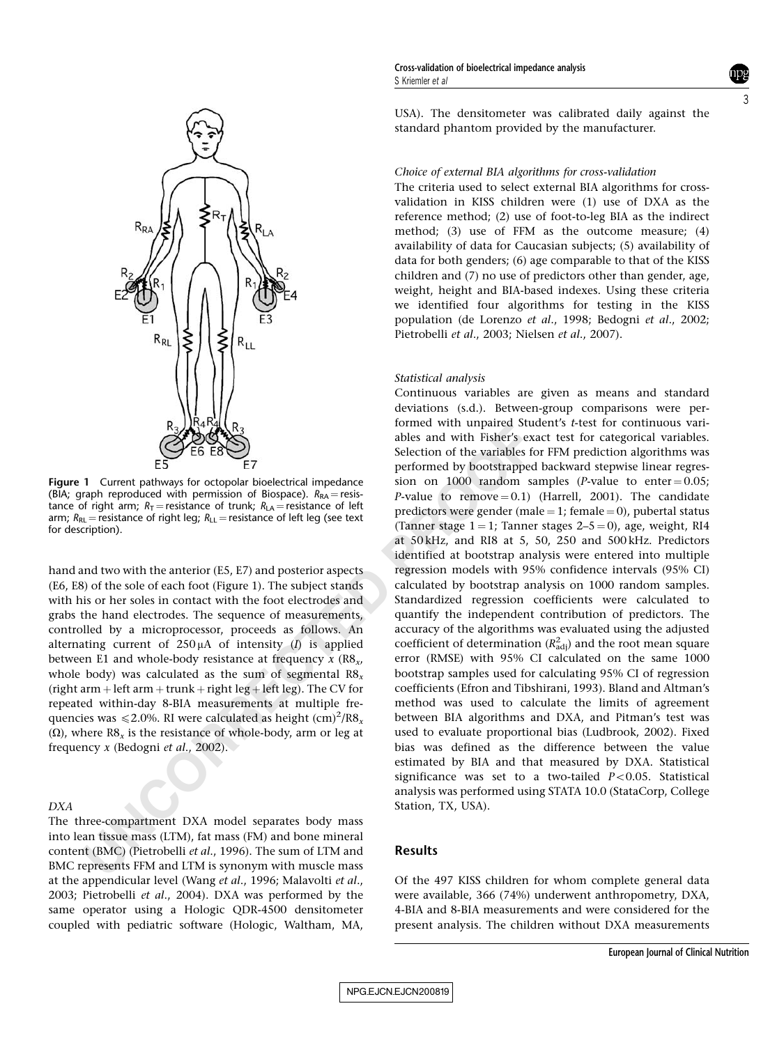

Figure 1 Current pathways for octopolar bioelectrical impedance (BIA; graph reproduced with permission of Biospace).  $R_\mathsf{RA}\!=\!\mathsf{resis}\text{-}$ tance of right arm;  $R_T$  = resistance of trunk;  $R_{LA}$  = resistance of left arm;  $R_\mathsf{RL}$  = resistance of right leg;  $R_\mathsf{LL}$  = resistance of left leg (see text for description).

hand and two with the anterior (E5, E7) and posterior aspects (E6, E8) of the sole of each foot (Figure 1). The subject stands with his or her soles in contact with the foot electrodes and grabs the hand electrodes. The sequence of measurements, controlled by a microprocessor, proceeds as follows. An alternating current of  $250 \mu A$  of intensity (*I*) is applied between E1 and whole-body resistance at frequency  $x$  (R8 $_{\mathrm{x}}$ , whole body) was calculated as the sum of segmental  ${\rm R8}_\mathrm{\star}$ (right arm þ left arm þ trunk þ right leg þ left leg). The CV for repeated within-day 8-BIA measurements at multiple frequencies was  $\leqslant$  2.0%. RI were calculated as height  $\rm (cm)^2/R8_{\it x}$  $(\Omega)$ , where R8<sub>x</sub> is the resistance of whole-body, arm or leg at frequency x (Bedogni et al., 2002).

#### DXA

The three-compartment DXA model separates body mass into lean tissue mass (LTM), fat mass (FM) and bone mineral content (BMC) (Pietrobelli et al., 1996). The sum of LTM and BMC represents FFM and LTM is synonym with muscle mass at the appendicular level (Wang et al[., 1996;](#page-7-0) [Malavolti](#page-6-0) et al., [2003](#page-6-0); [Pietrobelli](#page-7-0) et al., 2004). DXA was performed by the same operator using a Hologic QDR-4500 densitometer coupled with pediatric software (Hologic, Waltham, MA,

USA). The densitometer was calibrated daily against the standard phantom provided by the manufacturer.

#### Choice of external BIA algorithms for cross-validation

The criteria used to select external BIA algorithms for crossvalidation in KISS children were (1) use of DXA as the reference method; (2) use of foot-to-leg BIA as the indirect method; (3) use of FFM as the outcome measure; (4) availability of data for Caucasian subjects; (5) availability of data for both genders; (6) age comparable to that of the KISS children and (7) no use of predictors other than gender, age, weight, height and BIA-based indexes. Using these criteria we identified four algorithms for testing in the KISS population ([de Lorenzo](#page-6-0) et al., 1998; [Bedogni](#page-6-0) et al., 2002; [Pietrobelli](#page-6-0) et al., 2003; [Nielsen](#page-6-0) et al., 2007).

#### Statistical analysis

**ESCRIPED A[N](#page-6-0)SEMPTE AND SET AND SET AND SET AND THE SET AND SET AND THE SET AND SET AND MONET AND THE SET AND MONET AND THE SET AND MONET AND SET AND MONET AND MONET AND MONET AND MONET AND MONET AND MONET AND SURFAME OF T** Continuous variables are given as means and standard deviations (s.d.). Between-group comparisons were performed with unpaired Student's t-test for continuous variables and with Fisher's exact test for categorical variables. Selection of the variables for FFM prediction algorithms was performed by bootstrapped backward stepwise linear regression on 1000 random samples (*P*-value to enter =  $0.05$ ; P-value to remove  $= 0.1$ ) [\(Harrell, 2001\)](#page-6-0). The candidate predictors were gender (male = 1; female = 0), pubertal status (Tanner stage  $1 = 1$ ; Tanner stages  $2-5 = 0$ ), age, weight, RI4 at 50 kHz, and RI8 at 5, 50, 250 and 500 kHz. Predictors identified at bootstrap analysis were entered into multiple regression models with 95% confidence intervals (95% CI) calculated by bootstrap analysis on 1000 random samples. Standardized regression coefficients were calculated to quantify the independent contribution of predictors. The accuracy of the algorithms was evaluated using the adjusted coefficient of determination  $(R^2_{\text{adj}})$  and the root mean square error (RMSE) with 95% CI calculated on the same 1000 bootstrap samples used for calculating 95% CI of regression coefficients ([Efron and Tibshirani, 1993\)](#page-6-0). Bland and Altman's method was used to calculate the limits of agreement between BIA algorithms and DXA, and Pitman's test was used to evaluate proportional bias [\(Ludbrook, 2002\)](#page-6-0). Fixed bias was defined as the difference between the value estimated by BIA and that measured by DXA. Statistical significance was set to a two-tailed  $P < 0.05$ . Statistical analysis was performed using STATA 10.0 (StataCorp, College Station, TX, USA).

#### Results

Of the 497 KISS children for whom complete general data were available, 366 (74%) underwent anthropometry, DXA, 4-BIA and 8-BIA measurements and were considered for the present analysis. The children without DXA measurements

3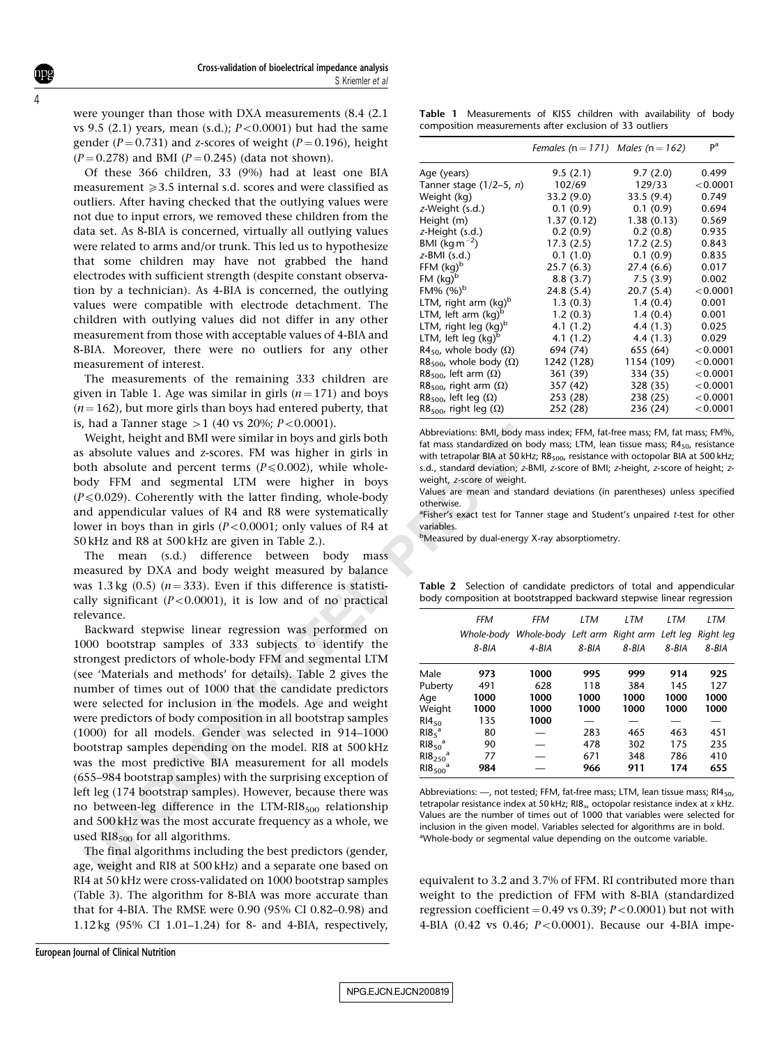were younger than those with DXA measurements (8.4 (2.1 vs 9.5  $(2.1)$  years, mean  $(s.d.)$ ;  $P < 0.0001$ ) but had the same gender ( $P = 0.731$ ) and z-scores of weight ( $P = 0.196$ ), height  $(P = 0.278)$  and BMI  $(P = 0.245)$  (data not shown).

Of these 366 children, 33 (9%) had at least one BIA measurement  $\geqslant$  3.5 internal s.d. scores and were classified as outliers. After having checked that the outlying values were not due to input errors, we removed these children from the data set. As 8-BIA is concerned, virtually all outlying values were related to arms and/or trunk. This led us to hypothesize that some children may have not grabbed the hand electrodes with sufficient strength (despite constant observation by a technician). As 4-BIA is concerned, the outlying values were compatible with electrode detachment. The children with outlying values did not differ in any other measurement from those with acceptable values of 4-BIA and 8-BIA. Moreover, there were no outliers for any other measurement of interest.

The measurements of the remaining 333 children are given in Table 1. Age was similar in girls  $(n=171)$  and boys  $(n=162)$ , but more girls than boys had entered puberty, that is, had a Tanner stage  $>1$  (40 vs 20%;  $P < 0.0001$ ).

Weight, height and BMI were similar in boys and girls both as absolute values and z-scores. FM was higher in girls in both absolute and percent terms ( $P \le 0.002$ ), while wholebody FFM and segmental LTM were higher in boys  $(P \le 0.029)$ . Coherently with the latter finding, whole-body and appendicular values of R4 and R8 were systematically lower in boys than in girls  $(P<0.0001$ ; only values of R4 at 50 kHz and R8 at 500 kHz are given in Table 2.).

The mean (s.d.) difference between body mass measured by DXA and body weight measured by balance was 1.3 kg  $(0.5)$   $(n=333)$ . Even if this difference is statistically significant  $(P<0.0001)$ , it is low and of no practical relevance.

Than a tannier stage  $>1$  (40 V3 *UDPs*)  $\mu$ , that a simulate that the simulate and *z*-scores. FM was highly the about whister in gitts in with tetapolar BMA as about and percent terms.  $\mu$  we higher in boys weight, a Backward stepwise linear regression was performed on 1000 bootstrap samples of 333 subjects to identify the strongest predictors of whole-body FFM and segmental LTM (see 'Materials and methods' for details). Table 2 gives the number of times out of 1000 that the candidate predictors were selected for inclusion in the models. Age and weight were predictors of body composition in all bootstrap samples (1000) for all models. Gender was selected in 914–1000 bootstrap samples depending on the model. RI8 at 500 kHz was the most predictive BIA measurement for all models (655–984 bootstrap samples) with the surprising exception of left leg (174 bootstrap samples). However, because there was no between-leg difference in the  $LTM-R18<sub>500</sub>$  relationship and 500 kHz was the most accurate frequency as a whole, we used  $RIS_{500}$  for all algorithms.

The final algorithms including the best predictors (gender, age, weight and RI8 at 500 kHz) and a separate one based on RI4 at 50 kHz were cross-validated on 1000 bootstrap samples ([Table 3\)](#page-4-0). The algorithm for 8-BIA was more accurate than that for 4-BIA. The RMSE were 0.90 (95% CI 0.82–0.98) and 1.12 kg (95% CI 1.01–1.24) for 8- and 4-BIA, respectively,

Table 1 Measurements of KISS children with availability of body composition measurements after exclusion of 33 outliers

|                                             | Females ( $n = 171$ ) Males ( $n = 162$ ) |            | pa       |
|---------------------------------------------|-------------------------------------------|------------|----------|
| Age (years)                                 | 9.5(2.1)                                  | 9.7(2.0)   | 0.499    |
| Tanner stage $(1/2-5, n)$                   | 102/69                                    | 129/33     | < 0.0001 |
| Weight (kg)                                 | 33.2(9.0)                                 | 33.5(9.4)  | 0.749    |
| z-Weight (s.d.)                             | 0.1(0.9)                                  | 0.1(0.9)   | 0.694    |
| Height (m)                                  | 1.37(0.12)                                | 1.38(0.13) | 0.569    |
| z-Height (s.d.)                             | 0.2(0.9)                                  | 0.2(0.8)   | 0.935    |
| BMI (kg m <sup>-2</sup> )                   | 17.3(2.5)                                 | 17.2(2.5)  | 0.843    |
| $z$ -BMI $(s.d.)$                           | 0.1(1.0)                                  | 0.1(0.9)   | 0.835    |
| FFM $(kq)^b$                                | 25.7(6.3)                                 | 27.4 (6.6) | 0.017    |
| $FM (kq)^b$                                 | 8.8(3.7)                                  | 7.5(3.9)   | 0.002    |
| $FM\%$ (%) <sup>b</sup>                     | 24.8(5.4)                                 | 20.7(5.4)  | < 0.0001 |
| LTM, right arm (kg) <sup>b</sup>            | 1.3(0.3)                                  | 1.4(0.4)   | 0.001    |
| LTM, left arm (kg) <sup>b</sup>             | 1.2(0.3)                                  | 1.4(0.4)   | 0.001    |
| LTM, right leg (kg) <sup>b</sup>            | 4.1(1.2)                                  | 4.4(1.3)   | 0.025    |
| LTM, left leg (kg) <sup>b</sup>             | 4.1(1.2)                                  | 4.4(1.3)   | 0.029    |
| R4 <sub>50</sub> , whole body ( $\Omega$ )  | 694 (74)                                  | 655 (64)   | < 0.0001 |
| R8 <sub>500</sub> , whole body ( $\Omega$ ) | 1242 (128)                                | 1154 (109) | < 0.0001 |
| R8 <sub>500</sub> , left arm $(\Omega)$     | 361 (39)                                  | 334 (35)   | < 0.0001 |
| R8 <sub>500</sub> , right arm $(\Omega)$    | 357 (42)                                  | 328 (35)   | < 0.0001 |
| R8 <sub>500</sub> , left leg ( $\Omega$ )   | 253 (28)                                  | 238 (25)   | < 0.0001 |
| $R8_{500}$ , right leg ( $\Omega$ )         | 252 (28)                                  | 236 (24)   | < 0.0001 |

Abbreviations: BMI, body mass index; FFM, fat-free mass; FM, fat mass; FM%, fat mass standardized on body mass; LTM, lean tissue mass;  $R4_{50}$ , resistance with tetrapolar BIA at 50 kHz;  $R8_{500}$ , resistance with octopolar BIA at 500 kHz; s.d., standard deviation; z-BMI, z-score of BMI; z-height, z-score of height; zweight, z-score of weight.

Values are mean and standard deviations (in parentheses) unless specified otherwise.

<sup>a</sup>Fisher's exact test for Tanner stage and Student's unpaired t-test for other variables.

bMeasured by dual-energy X-ray absorptiometry.

Table 2 Selection of candidate predictors of total and appendicular body composition at bootstrapped backward stepwise linear regression

|                                 | <b>FFM</b> | <b>FFM</b>                                                  | LTM   | LTM   | LTM   | LTM   |
|---------------------------------|------------|-------------------------------------------------------------|-------|-------|-------|-------|
|                                 |            | Whole-body Whole-body Left arm Right arm Left leg Right leg |       |       |       |       |
|                                 | 8-BIA      | 4-BIA                                                       | 8-BIA | 8-BIA | 8-BIA | 8-BIA |
| Male                            | 973        | 1000                                                        | 995   | 999   | 914   | 925   |
| Puberty                         | 491        | 628                                                         | 118   | 384   | 145   | 127   |
| Age                             | 1000       | 1000                                                        | 1000  | 1000  | 1000  | 1000  |
| Weight                          | 1000       | 1000                                                        | 1000  | 1000  | 1000  | 1000  |
| $RI4_{50}$                      | 135        | 1000                                                        |       |       |       |       |
| $R185$ <sup>a</sup>             | 80         |                                                             | 283   | 465   | 463   | 451   |
| $R18_{50}$ <sup>a</sup>         | 90         |                                                             | 478   | 302   | 175   | 235   |
| $R18_{250}$ <sup>a</sup>        | 77         |                                                             | 671   | 348   | 786   | 410   |
| RIB <sub>500</sub> <sup>a</sup> | 984        |                                                             | 966   | 911   | 174   | 655   |

Abbreviations: —, not tested; FFM, fat-free mass; LTM, lean tissue mass; RI4<sub>50</sub>, tetrapolar resistance index at 50 kHz; RI8 $_{\sf x}$ , octopolar resistance index at  ${\sf x}$  kHz. Values are the number of times out of 1000 that variables were selected for inclusion in the given model. Variables selected for algorithms are in bold. <sup>a</sup>Whole-body or segmental value depending on the outcome variable.

equivalent to 3.2 and 3.7% of FFM. RI contributed more than weight to the prediction of FFM with 8-BIA (standardized regression coefficient = 0.49 vs 0.39;  $P\!<\!0.0001$ ) but not with 4-BIA (0.42 vs 0.46; *P*<0.0001). Because our 4-BIA impe-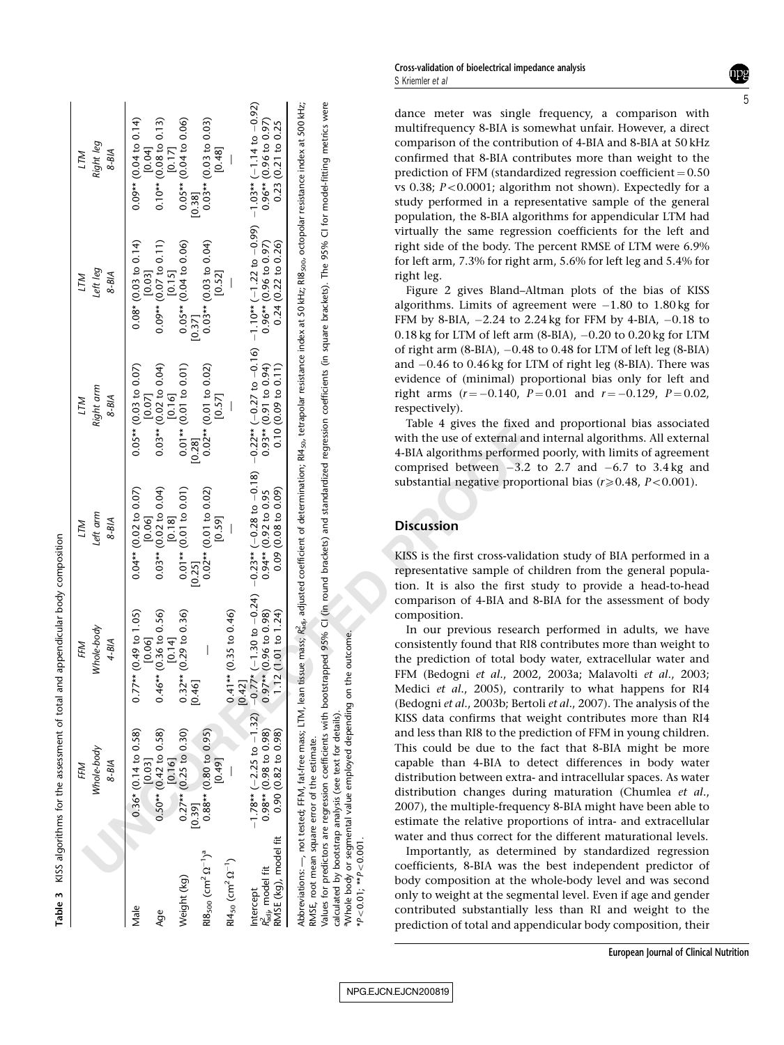<span id="page-4-0"></span>

| Right leg<br>8-BIA<br>LTM            | $-1.03**$ (-1.14 to -0.92)<br>$0.96**$ (0.96 to 0.97)<br>0.23 (0.21 to 0.25<br>$0.09**$ (0.04 to 0.14)<br>$0.10**$ (0.08 to 0.13)<br>$0.10**$ (0.08 to 0.13)<br>$0.17$<br>$0.05**$ (0.04 to 0.06)<br>$0.0\bar{3}^{**}$ (0.03 to 0.03)<br>[0.48]<br>$\overline{1}$<br>[0.38]                                                                      | dance meter was single<br>multifrequency 8-BIA is sor<br>comparison of the contribu<br>confirmed that 8-BIA cont<br>prediction of FFM (standard<br>vs 0.38; $P < 0.0001$ ; algorith<br>study performed in a repro<br>population, the 8-BIA algor                                                                                                                                                                                                                                                                                                                                                                                                                                                       |
|--------------------------------------|--------------------------------------------------------------------------------------------------------------------------------------------------------------------------------------------------------------------------------------------------------------------------------------------------------------------------------------------------|--------------------------------------------------------------------------------------------------------------------------------------------------------------------------------------------------------------------------------------------------------------------------------------------------------------------------------------------------------------------------------------------------------------------------------------------------------------------------------------------------------------------------------------------------------------------------------------------------------------------------------------------------------------------------------------------------------|
| Left leg<br>$8 - B/A$<br>ГTМ         | $-1.10** (-1.22 to -0.99)$<br>$0.96** (0.96 to 0.97)$<br>$0.24 (0.22 to 0.26)$<br>$0.08^* \ (0.03 \ to \ 0.14) \ \ [0.03]$<br>$0.09** (0.07 \text{ to } 0.11)$<br>$[0.15]$<br>$0.05** (0.04 \text{ to } 0.06)$<br>$^{0.03}_{0.03}$ * (0.03 to 0.04)<br>[0.52]<br>[0.37]                                                                          | Abbreviations: —, not tested; FFM, fat-free mass; LTM, lean tissue mass; R <sub>ady</sub> adjusted coefficient of determination; R14 <sub>50</sub> , tetrapolar resistance index at 50 kHz; RB <sub>500</sub> , octopolar resistance index at 500 kHz;<br>Values for predictors are regression coefficients with bootstrapped 95% CI (in round brackets) and standardized regression coefficients (in square brackets). The 95% CI for model-fitting metrics were<br>virtually the same regressi<br>right side of the body. The<br>for left arm, 7.3% for right a<br>right leg.<br>Figure 2 gives Bland-Al<br>algorithms. Limits of agree<br>FFM by 8-BIA, -2.24 to 2.2<br>0.18 kg for LTM of left arm |
| Right arm<br>$8 - B/A$<br><b>NLT</b> | $-0.22**$ (-0.27 to $-0.16$ )<br>$\begin{array}{ll} 0.05^{**}\,(0.03\;{\rm to}\;0.07)\\ [0.07] \ 0.03^{**}\,(0.02\;{\rm to}\;0.04)\\ [0.16] \ 0.01^{**}\,(0.01\;{\rm to}\;0.01)\\ [0.16] \end{array}$<br>$0.93**$ (0.91 to 0.94)<br>0.10 (0.09 to 0.11)<br>$0.02**$ (0.01 to 0.02)<br>[0.57]<br>[0.28]                                           | of right arm $(8-BIA)$ , $-0.48$<br>and $-0.46$ to $0.46$ kg for LT<br>evidence of (minimal) pro<br>right arms $(r = -0.140, P)$<br>respectively).<br>Table 4 gives the fixed a<br>with the use of external and<br>4-BIA algorithms performed<br>comprised between $-3.2$                                                                                                                                                                                                                                                                                                                                                                                                                              |
| Left arm<br>$8 - B/A$<br>LTM         | $-0.23**(-0.28 \text{ to } -0.18)$<br>0.94** (0.92 to 0.95<br>0.09 (0.08 to 0.09)<br>$\begin{array}{rl} 0.03^{**} \, (0.02 \, \mathrm{to} \, 0.04) \\ \text{[0.18]} \\ 0.01^{**} \, (0.01 \, \mathrm{to} \, 0.01) \end{array}$<br>$0.04** (0.02 \text{ to } 0.07) \ \ [0.06]$<br>$0.02^{**}$ (0.01 to 0.02)<br>[0.59]<br>$\mathbf{I}$<br>[0.25]  | substantial negative propor<br><b>Discussion</b><br>KISS is the first cross-valida<br>representative sample of cl<br>tion. It is also the first s                                                                                                                                                                                                                                                                                                                                                                                                                                                                                                                                                      |
| Whole-body<br>$4-BIA$<br>FFM         | $0.41**$ (0.35 to 0.46)<br>[0.42]<br>0.47* (-1.30 to -0.24)<br>0.97** (0.96 to 0.98)<br>$0.46**$ ( $0.\overline{36}$ to 0.56)<br>$[0.14]$<br>$0.32**$ (0.29 to 0.36)<br>$[0.46]$<br>1.12(1.01 to 1.24)<br>$0.77** (0.49 \text{ to } 1.05)$ [0.06]<br>$\bigg $                                                                                    | comparison of 4-BIA and 8<br>composition.<br>In our previous research<br>on the outcome.<br>consistently found that RI8<br>the prediction of total boo<br>FFM (Bedogni et al., 2002<br>Medici et al., 2005), cont<br>(Bedogni et al., 2003b; Berto                                                                                                                                                                                                                                                                                                                                                                                                                                                     |
|                                      |                                                                                                                                                                                                                                                                                                                                                  | KISS data confirms that wo<br>and less than RI8 to the pre-<br>This could be due to the                                                                                                                                                                                                                                                                                                                                                                                                                                                                                                                                                                                                                |
| Whole-body<br>$8 - B/A$<br>FFM       | $-1.78**$ (-2.25 to $-1.32$ )<br>$\begin{array}{c} 0.36^{*}\ (0.14\ \mathrm{to}\ 0.58) \\ [0.03] \\ 0.50^{**}\ (0.42\ \mathrm{to}\ 0.58) \\ [0.16] \\ [0.16] \\ 0.27^{**}\ (0.25\ \mathrm{to}\ 0.30) \end{array}$<br>$0.88**$ (0.80 to 0.95)<br>$0.98** (0.98$ to $0.98)$<br>$0.90 (0.82$ to $0.98)$<br>[0.49]<br>[0.39]<br>RMSE (kg), model fit | aWhole body or segmental value employed depending<br>calculated by bootstrap analysis (see text for details).<br>RMSE, root mean square error of the estimate.<br>capable than 4-BIA to de<br>distribution between extra-<br>distribution changes durin<br>2007), the multiple-frequen<br>estimate the relative propo<br>water and thus correct for                                                                                                                                                                                                                                                                                                                                                    |

Table 3 KISS algorithms for the assessment of total and appendicular body composition

KISS algorithms for the assessment of total and appendicular body composition

dance meter was single frequency, a comparison with multifrequency 8-BIA is somewhat unfair. However, a direct comparison of the contribution of 4-BIA and 8-BIA at 50 kHz confirmed that 8-BIA contributes more than weight to the prediction of FFM (standardized regression coefficient  $= 0.50$ vs 0.38; P<0.0001; algorithm not shown). Expectedly for a study performed in a representative sample of the general population, the 8-BIA algorithms for appendicular LTM had virtually the same regression coefficients for the left and right side of the body. The percent RMSE of LTM were 6.9% for left arm, 7.3% for right arm, 5.6% for left leg and 5.4% for right leg.

[Figure 2](#page-5-0) gives Bland–Altman plots of the bias of KISS algorithms. Limits of agreement were 1.80 to 1.80 kg for FFM by 8-BIA, 2.24 to 2.24 kg for FFM by 4-BIA, 0.18 to 0.18 kg for LTM of left arm (8-BIA), 0.20 to 0.20 kg for LTM of right arm (8-BIA), 0.48 to 0.48 for LTM of left leg (8-BIA) and 0.46 to 0.46 kg for LTM of right leg (8-BIA). There was evidence of (minimal) proportional bias only for left and right arms  $(r = -0.140, P = 0.01$  and  $r = -0.129, P = 0.02$ , respectively).

[Table 4](#page-5-0) gives the fixed and proportional bias associated with the use of external and internal algorithms. All external 4-BIA algorithms performed poorly, with limits of agreement comprised between  $-3.2$  to 2.7 and  $-6.7$  to 3.4 kg and substantial negative proportional bias ( $r \ge 0.48$ ,  $P < 0.001$ ).

## **Discussion**

KISS is the first cross-validation study of BIA performed in a representative sample of children from the general population. It is also the first study to provide a head-to-head comparison of 4-BIA and 8-BIA for the assessment of body composition.

In our previous research performed in adults, we have consistently found that RI8 contributes more than weight to the prediction of total body water, extracellular water and FFM (Bedogni et al., 2002, 2003a; [Malavolti](#page-6-0) et al., 2003; Medici et al., 2005), contrarily to what happens for RI4 (Bedogni et al., 2003b; Bertoli et al[., 2007\)](#page-6-0). The analysis of the KISS data confirms that weight contributes more than RI4 and less than RI8 to the prediction of FFM in young children. This could be due to the fact that 8-BIA might be more capable than 4-BIA to detect differences in body water distribution between extra- and intracellular spaces. As water distribution changes during maturation ([Chumlea](#page-6-0) et al., 2007), the multiple-frequency 8-BIA might have been able to estimate the relative proportions of intra- and extracellular water and thus correct for the different maturational levels.

Importantly, as determined by standardized regression coefficients, 8-BIA was the best independent predictor of body composition at the whole-body level and was second only to weight at the segmental level. Even if age and gender contributed substantially less than RI and weight to the prediction of total and appendicular body composition, their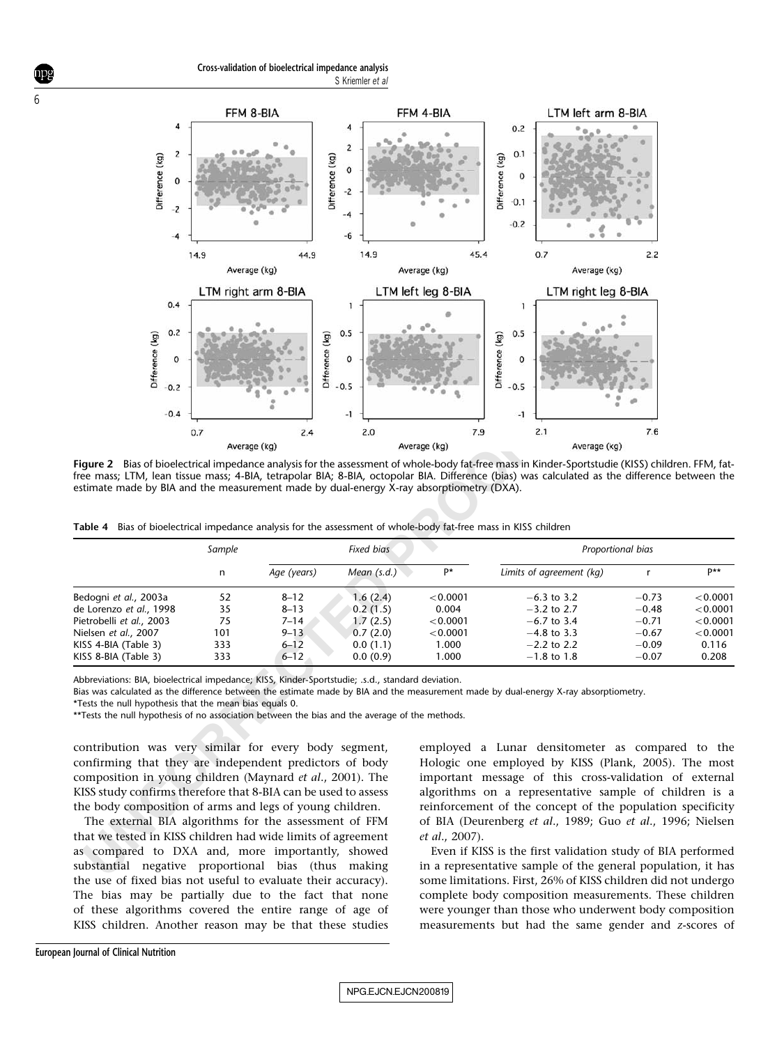<span id="page-5-0"></span>

Figure 2 Bias of bioelectrical impedance analysis for the assessment of whole-body fat-free mass in Kinder-Sportstudie (KISS) children. FFM, fatfree mass; LTM, lean tissue mass; 4-BIA, tetrapolar BIA; 8-BIA, octopolar BIA. Difference (bias) was calculated as the difference between the estimate made by BIA and the measurement made by dual-energy X-ray absorptiometry (DXA).

|  |  | Table 4 Bias of bioelectrical impedance analysis for the assessment of whole-body fat-free mass in KISS children |
|--|--|------------------------------------------------------------------------------------------------------------------|
|  |  |                                                                                                                  |

|                                                                                                                                                                                                                                                                                                             | 0.7                                 | 2.4                                                                  | 2.0                                                                  | 7.9                                                         | 2.1                                                                                                                                                                                                                                                                                                        | 7.6                                                            |                                                                |
|-------------------------------------------------------------------------------------------------------------------------------------------------------------------------------------------------------------------------------------------------------------------------------------------------------------|-------------------------------------|----------------------------------------------------------------------|----------------------------------------------------------------------|-------------------------------------------------------------|------------------------------------------------------------------------------------------------------------------------------------------------------------------------------------------------------------------------------------------------------------------------------------------------------------|----------------------------------------------------------------|----------------------------------------------------------------|
| Average (kg)                                                                                                                                                                                                                                                                                                |                                     |                                                                      | Average (kg)                                                         |                                                             | Average (kg)                                                                                                                                                                                                                                                                                               |                                                                |                                                                |
| estimate made by BIA and the measurement made by dual-energy X-ray absorptiometry (DXA).<br>Table 4 Bias of bioelectrical impedance analysis for the assessment of whole-body fat-free mass in KISS children                                                                                                |                                     |                                                                      |                                                                      |                                                             | Figure 2 Bias of bioelectrical impedance analysis for the assessment of whole-body fat-free mass in Kinder-Sportstudie (KISS) children. FFM, fat-<br>free mass; LTM, lean tissue mass; 4-BIA, tetrapolar BIA; 8-BIA, octopolar BIA. Difference (bias) was calculated as the difference between the         |                                                                |                                                                |
|                                                                                                                                                                                                                                                                                                             | Sample<br><b>Fixed bias</b>         |                                                                      |                                                                      |                                                             |                                                                                                                                                                                                                                                                                                            | Proportional bias                                              |                                                                |
|                                                                                                                                                                                                                                                                                                             | n                                   | Age (years)                                                          | Mean (s.d.)                                                          | P*                                                          | Limits of agreement (kg)                                                                                                                                                                                                                                                                                   | $\mathsf{r}$                                                   | p**                                                            |
| Bedogni et al., 2003a<br>de Lorenzo et al., 1998<br>Pietrobelli et al., 2003<br>Nielsen et al., 2007<br>KISS 4-BIA (Table 3)<br>KISS 8-BIA (Table 3)<br>Abbreviations: BIA, bioelectrical impedance; KISS, Kinder-Sportstudie; .s.d., standard deviation.                                                   | 52<br>35<br>75<br>101<br>333<br>333 | $8 - 12$<br>$8 - 13$<br>$7 - 14$<br>$9 - 13$<br>$6 - 12$<br>$6 - 12$ | 1.6(2.4)<br>0.2(1.5)<br>1.7(2.5)<br>0.7(2.0)<br>0.0(1.1)<br>0.0(0.9) | < 0.0001<br>0.004<br>< 0.0001<br>< 0.0001<br>1.000<br>1.000 | $-6.3$ to 3.2<br>$-3.2$ to 2.7<br>$-6.7$ to 3.4<br>$-4.8$ to 3.3<br>$-2.2$ to 2.2<br>$-1.8$ to 1.8<br>Bias was calculated as the difference between the estimate made by BIA and the measurement made by dual-energy X-ray absorptiometry.                                                                 | $-0.73$<br>$-0.48$<br>$-0.71$<br>$-0.67$<br>$-0.09$<br>$-0.07$ | < 0.0001<br>< 0.0001<br>< 0.0001<br>< 0.0001<br>0.116<br>0.208 |
| *Tests the null hypothesis that the mean bias equals 0.<br>**Tests the null hypothesis of no association between the bias and the average of the methods.                                                                                                                                                   |                                     |                                                                      |                                                                      |                                                             | employed a Lunar densitometer as compared to the                                                                                                                                                                                                                                                           |                                                                |                                                                |
| contribution was very similar for every body segment,<br>confirming that they are independent predictors of body<br>composition in young children (Maynard et al., 2001). The<br>KISS study confirms therefore that 8-BIA can be used to assess<br>the body composition of arms and legs of young children. |                                     |                                                                      |                                                                      |                                                             | Hologic one employed by KISS (Plank, 2005). The most<br>important message of this cross-validation of external<br>algorithms on a representative sample of children is a<br>reinforcement of the concept of the population specificity                                                                     |                                                                |                                                                |
| The external BIA algorithms for the assessment of FFM<br>that we tested in KISS children had wide limits of agreement<br>as compared to DXA and, more importantly, showed<br>substantial negative proportional bias (thus making                                                                            |                                     |                                                                      |                                                                      | <i>et al.</i> , 2007).                                      | of BIA (Deurenberg et al., 1989; Guo et al., 1996; Nielsen<br>Even if KISS is the first validation study of BIA performed<br>in a representative sample of the general population, it has                                                                                                                  |                                                                |                                                                |
|                                                                                                                                                                                                                                                                                                             |                                     |                                                                      |                                                                      |                                                             | $\mathbf{m}$ as $\mathbf{a}$ as $\mathbf{a}$ as $\mathbf{a}$ as $\mathbf{a}$ as $\mathbf{a}$ as $\mathbf{a}$ as $\mathbf{a}$ as $\mathbf{a}$ as $\mathbf{a}$ as $\mathbf{a}$ as $\mathbf{a}$ as $\mathbf{a}$ as $\mathbf{a}$ as $\mathbf{a}$ as $\mathbf{a}$ as $\mathbf{a}$ as $\mathbf{a}$ as $\mathbf{$ |                                                                |                                                                |

The external BIA algorithms for the assessment of FFM that we tested in KISS children had wide limits of agreement as compared to DXA and, more importantly, showed substantial negative proportional bias (thus making the use of fixed bias not useful to evaluate their accuracy). The bias may be partially due to the fact that none of these algorithms covered the entire range of age of KISS children. Another reason may be that these studies

Even if KISS is the first validation study of BIA performed in a representative sample of the general population, it has some limitations. First, 26% of KISS children did not undergo complete body composition measurements. These children were younger than those who underwent body composition measurements but had the same gender and z-scores of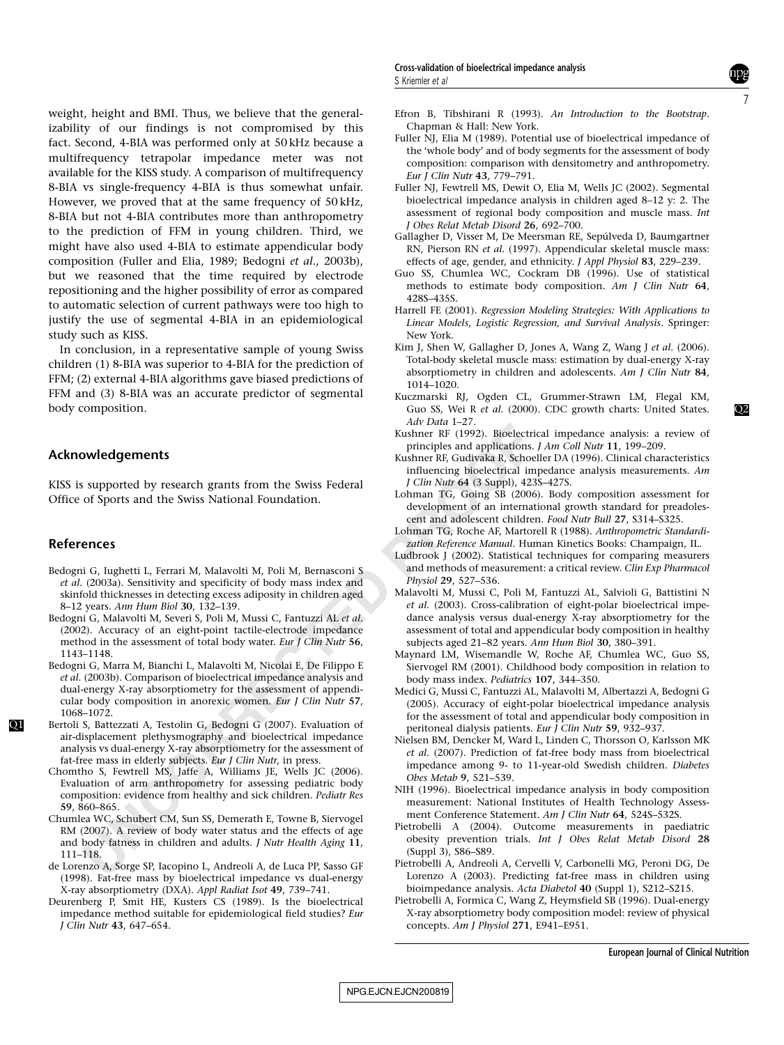<span id="page-6-0"></span>weight, height and BMI. Thus, we believe that the generalizability of our findings is not compromised by this fact. Second, 4-BIA was performed only at 50 kHz because a multifrequency tetrapolar impedance meter was not available for the KISS study. A comparison of multifrequency 8-BIA vs single-frequency 4-BIA is thus somewhat unfair. However, we proved that at the same frequency of 50 kHz, 8-BIA but not 4-BIA contributes more than anthropometry to the prediction of FFM in young children. Third, we might have also used 4-BIA to estimate appendicular body composition (Fuller and Elia, 1989; Bedogni et al., 2003b), but we reasoned that the time required by electrode repositioning and the higher possibility of error as compared to automatic selection of current pathways were too high to justify the use of segmental 4-BIA in an epidemiological study such as KISS.

In conclusion, in a representative sample of young Swiss children (1) 8-BIA was superior to 4-BIA for the prediction of FFM; (2) external 4-BIA algorithms gave biased predictions of FFM and (3) 8-BIA was an accurate predictor of segmental body composition.

#### Acknowledgements

KISS is supported by research grants from the Swiss Federal Office of Sports and the Swiss National Foundation.

#### **References**

 $O<sub>1</sub>$ 

- Bedogni G, Iughetti L, Ferrari M, Malavolti M, Poli M, Bernasconi S et al. (2003a). Sensitivity and specificity of body mass index and skinfold thicknesses in detecting excess adiposity in children aged 8–12 years. Ann Hum Biol 30, 132–139.
- Bedogni G, Malavolti M, Severi S, Poli M, Mussi C, Fantuzzi AL et al. (2002). Accuracy of an eight-point tactile-electrode impedance method in the assessment of total body water. *Eur J Clin Nutr* 56, 1143–1148.
- **UNIVERGENT IS and THE SET CONDUCT THE SET CONDUCT THE SET CONDUCT THE SET CONDUCT THE SET CONDUCTED THE SET CONDUCTED THE SET CONDUCTED INTO THE SET AND ARREST CONDUCTED THE SET AND SURFACT AND SURFACT AND SURFACT AND SUR** Bedogni G, Marra M, Bianchi L, Malavolti M, Nicolai E, De Filippo E et al. (2003b). Comparison of bioelectrical impedance analysis and dual-energy X-ray absorptiometry for the assessment of appendicular body composition in anorexic women. Eur J Clin Nutr 57, 1068–1072.
- Bertoli S, Battezzati A, Testolin G, Bedogni G (2007). Evaluation of air-displacement plethysmography and bioelectrical impedance analysis vs dual-energy X-ray absorptiometry for the assessment of fat-free mass in elderly subjects. Eur J Clin Nutr, in press.
- Chomtho S, Fewtrell MS, Jaffe A, Williams JE, Wells JC (2006). Evaluation of arm anthropometry for assessing pediatric body composition: evidence from healthy and sick children. Pediatr Res 59, 860–865.
- Chumlea WC, Schubert CM, Sun SS, Demerath E, Towne B, Siervogel RM (2007). A review of body water status and the effects of age and body fatness in children and adults. J Nutr Health Aging 11, 111–118.
- de Lorenzo A, Sorge SP, Iacopino L, Andreoli A, de Luca PP, Sasso GF (1998). Fat-free mass by bioelectrical impedance vs dual-energy X-ray absorptiometry (DXA). Appl Radiat Isot 49, 739–741.
- Deurenberg P, Smit HE, Kusters CS (1989). Is the bioelectrical impedance method suitable for epidemiological field studies? Eur J Clin Nutr 43, 647–654.
- Efron B, Tibshirani R (1993). An Introduction to the Bootstrap . Chapman & Hall: New York.
- Fuller NJ, Elia M (1989). Potential use of bioelectrical impedance of the 'whole body' and of body segments for the assessment of body composition: comparison with densitometry and anthropometry. Eur J Clin Nutr 43, 779–791.
- Fuller NJ, Fewtrell MS, Dewit O, Elia M, Wells JC (2002). Segmental bioelectrical impedance analysis in children aged 8–12 y: 2. The assessment of regional body composition and muscle mass. Int J Obes Relat Metab Disord 26, 692–700.
- Gallagher D, Visser M, De Meersman RE, Sepúlveda D, Baumgartner RN, Pierson RN et al. (1997). Appendicular skeletal muscle mass: effects of age, gender, and ethnicity. J Appl Physiol 83, 229–239.
- Guo SS, Chumlea WC, Cockram DB (1996). Use of statistical methods to estimate body composition. Am J Clin Nutr 64, 428S–435S.
- Harrell FE (2001). Regression Modeling Strategies: With Applications to Linear Models, Logistic Regression, and Survival Analysis. Springer: New York.
- Kim J, Shen W, Gallagher D, Jones A, Wang Z, Wang J et al. (2006). Total-body skeletal muscle mass: estimation by dual-energy X-ray absorptiometry in children and adolescents. Am J Clin Nutr 84, 1014–1020.
- Kuczmarski RJ, Ogden CL, Grummer-Strawn LM, Flegal KM, Guo SS, Wei R et al. (2000). CDC growth charts: United States. Adv Data 1–27.
- Kushner RF (1992). Bioelectrical impedance analysis: a review of principles and applications. J Am Coll Nutr 11, 199–209.
- Kushner RF, Gudivaka R, Schoeller DA (1996). Clinical characteristics influencing bioelectrical impedance analysis measurements. Am J Clin Nutr 64 (3 Suppl), 423S–427S.
- Lohman TG, Going SB (2006). Body composition assessment for development of an international growth standard for preadolescent and adolescent children. Food Nutr Bull 27, S314–S325.
- Lohman TG, Roche AF, Martorell R (1988). Anthropometric Standardization Reference Manual. Human Kinetics Books: Champaign, IL.
- Ludbrook J (2002). Statistical techniques for comparing measurers and methods of measurement: a critical review. Clin Exp Pharmacol Physiol 29, 527–536.
- Malavolti M, Mussi C, Poli M, Fantuzzi AL, Salvioli G, Battistini N et al. (2003). Cross-calibration of eight-polar bioelectrical impedance analysis versus dual-energy X-ray absorptiometry for the assessment of total and appendicular body composition in healthy subjects aged 21–82 years. Ann Hum Biol 30, 380–391.
- Maynard LM, Wisemandle W, Roche AF, Chumlea WC, Guo SS, Siervogel RM (2001). Childhood body composition in relation to body mass index. Pediatrics 107, 344–350.
- Medici G, Mussi C, Fantuzzi AL, Malavolti M, Albertazzi A, Bedogni G (2005). Accuracy of eight-polar bioelectrical impedance analysis for the assessment of total and appendicular body composition in peritoneal dialysis patients. Eur J Clin Nutr 59, 932–937.
- Nielsen BM, Dencker M, Ward L, Linden C, Thorsson O, Karlsson MK et al. (2007). Prediction of fat-free body mass from bioelectrical impedance among 9- to 11-year-old Swedish children. Diabetes Obes Metab 9, 521–539.
- NIH (1996). Bioelectrical impedance analysis in body composition measurement: National Institutes of Health Technology Assessment Conference Statement. Am J Clin Nutr 64, 524S–532S.
- Pietrobelli A (2004). Outcome measurements in paediatric obesity prevention trials. Int J Obes Relat Metab Disord 28 (Suppl 3), S86–S89.
- Pietrobelli A, Andreoli A, Cervelli V, Carbonelli MG, Peroni DG, De Lorenzo A (2003). Predicting fat-free mass in children using bioimpedance analysis. Acta Diabetol 40 (Suppl 1), S212–S215.
- Pietrobelli A, Formica C, Wang Z, Heymsfield SB (1996). Dual-energy X-ray absorptiometry body composition model: review of physical concepts. Am J Physiol 271, E941–E951.

NPG\_EJCN\_EJCN200819

 $Q<sub>2</sub>$